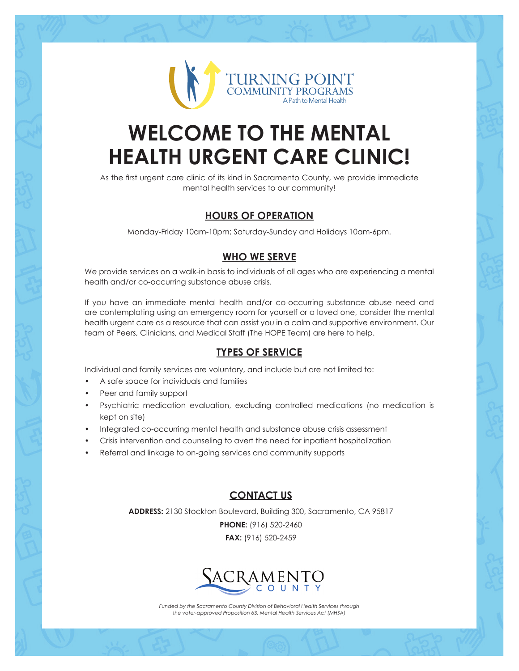

# **WELCOME TO THE MENTAL HEALTH URGENT CARE CLINIC!**

As the first urgent care clinic of its kind in Sacramento County, we provide immediate mental health services to our community!

#### **HOURS OF OPERATION**

Monday-Friday 10am-10pm; Saturday-Sunday and Holidays 10am-6pm.

#### **WHO WE SERVE**

We provide services on a walk-in basis to individuals of all ages who are experiencing a mental health and/or co-occurring substance abuse crisis.

If you have an immediate mental health and/or co-occurring substance abuse need and are contemplating using an emergency room for yourself or a loved one, consider the mental health urgent care as a resource that can assist you in a calm and supportive environment. Our team of Peers, Clinicians, and Medical Staff (The HOPE Team) are here to help.

#### **TYPES OF SERVICE**

Individual and family services are voluntary, and include but are not limited to:

- A safe space for individuals and families
- Peer and family support
- Psychiatric medication evaluation, excluding controlled medications (no medication is kept on site)
- Integrated co-occurring mental health and substance abuse crisis assessment
- Crisis intervention and counseling to avert the need for inpatient hospitalization
- Referral and linkage to on-going services and community supports

#### **CONTACT US**

**ADDRESS:** 2130 Stockton Boulevard, Building 300, Sacramento, CA 95817

**PHONE:** (916) 520-2460 **FAX:** (916) 520-2459



*Funded by the Sacramento County Division of Behavioral Health Services through the voter-approved Proposition 63, Mental Health Services Act (MHSA)*